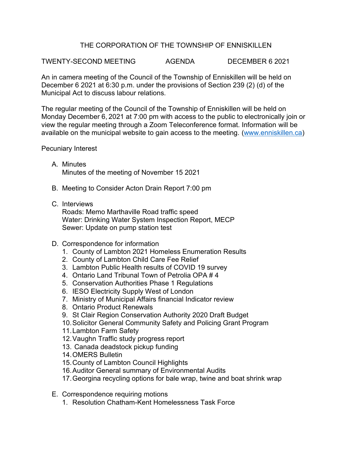## THE CORPORATION OF THE TOWNSHIP OF ENNISKILLEN

TWENTY-SECOND MEETING AGENDA DECEMBER 6 2021

An in camera meeting of the Council of the Township of Enniskillen will be held on December 6 2021 at 6:30 p.m. under the provisions of Section 239 (2) (d) of the Municipal Act to discuss labour relations.

The regular meeting of the Council of the Township of Enniskillen will be held on Monday December 6, 2021 at 7:00 pm with access to the public to electronically join or view the regular meeting through a Zoom Teleconference format. Information will be available on the municipal website to gain access to the meeting. [\(www.enniskillen.ca\)](http://www.enniskillen.ca/)

Pecuniary Interest

- A. Minutes Minutes of the meeting of November 15 2021
- B. Meeting to Consider Acton Drain Report 7:00 pm
- C. Interviews

Roads: Memo Marthaville Road traffic speed Water: Drinking Water System Inspection Report, MECP Sewer: Update on pump station test

- D. Correspondence for information
	- 1. County of Lambton 2021 Homeless Enumeration Results
	- 2. County of Lambton Child Care Fee Relief
	- 3. Lambton Public Health results of COVID 19 survey
	- 4. Ontario Land Tribunal Town of Petrolia OPA # 4
	- 5. Conservation Authorities Phase 1 Regulations
	- 6. IESO Electricity Supply West of London
	- 7. Ministry of Municipal Affairs financial Indicator review
	- 8. Ontario Product Renewals
	- 9. St Clair Region Conservation Authority 2020 Draft Budget
	- 10.Solicitor General Community Safety and Policing Grant Program
	- 11.Lambton Farm Safety
	- 12.Vaughn Traffic study progress report
	- 13. Canada deadstock pickup funding
	- 14.OMERS Bulletin
	- 15.County of Lambton Council Highlights
	- 16.Auditor General summary of Environmental Audits
	- 17.Georgina recycling options for bale wrap, twine and boat shrink wrap
- E. Correspondence requiring motions
	- 1. Resolution Chatham-Kent Homelessness Task Force